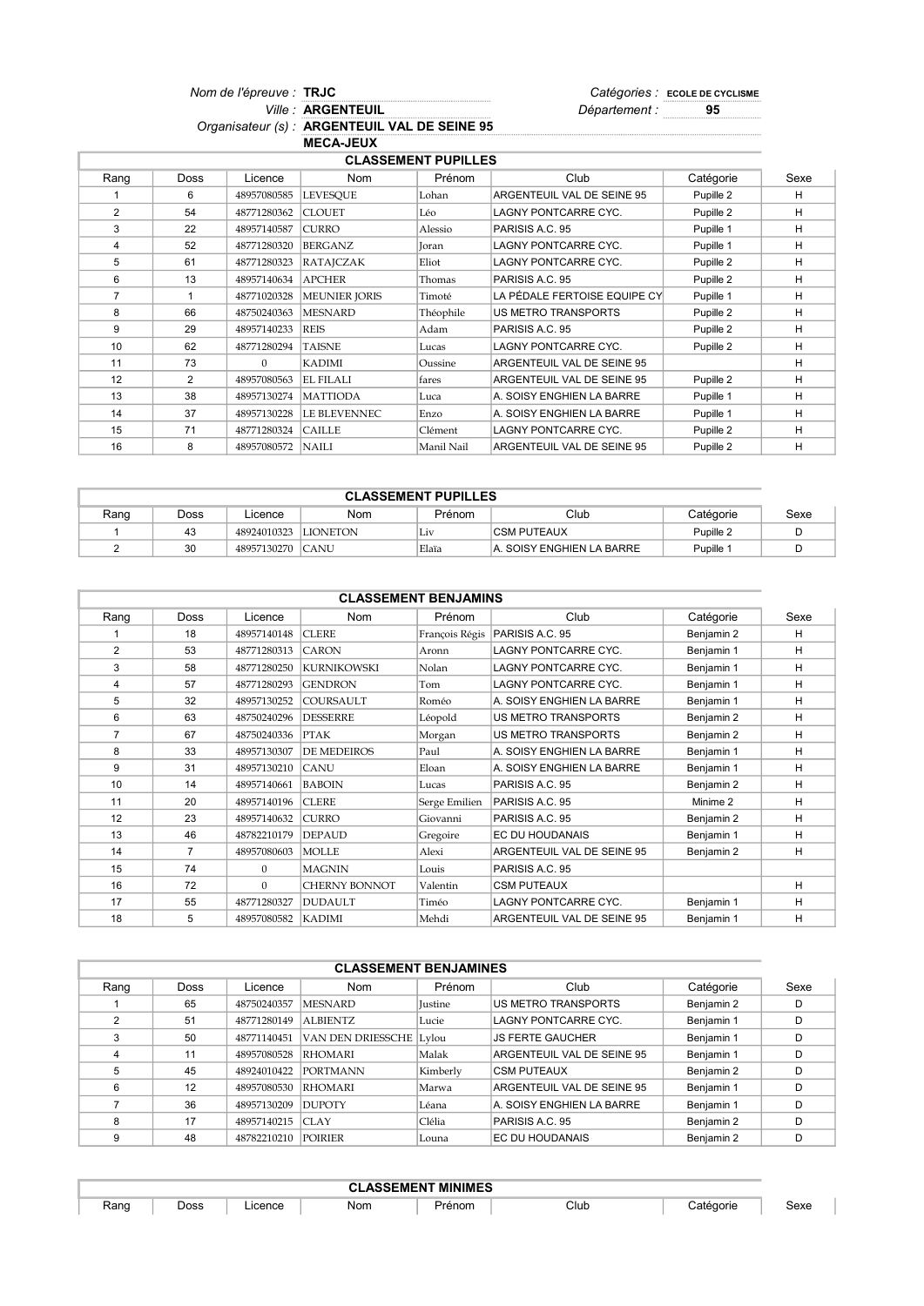Nom de l'épreuve : TRJC  $\blacksquare$ Ville : ARGENTEUIL **Market Eliterature in Separtement : 35** Nom de l'épreuve : TRJC **Ville: ARGENTEUIL** 

Organisateur (s) : ARGENTEUIL VAL DE SEINE 95 MECA-JEUX

| <b>CLASSEMENT PUPILLES</b> |               |             |                      |            |                              |           |      |  |  |
|----------------------------|---------------|-------------|----------------------|------------|------------------------------|-----------|------|--|--|
| Rang                       | <b>Doss</b>   | Licence     | <b>Nom</b>           | Prénom     | Club                         | Catégorie | Sexe |  |  |
|                            | 6             | 48957080585 | <b>LEVESOUE</b>      | Lohan      | ARGENTEUIL VAL DE SEINE 95   | Pupille 2 | н    |  |  |
| 2                          | 54            | 48771280362 | <b>CLOUET</b>        | Léo        | <b>LAGNY PONTCARRE CYC.</b>  | Pupille 2 | н    |  |  |
| 3                          | 22            | 48957140587 | <b>CURRO</b>         | Alessio    | PARISIS A.C. 95              | Pupille 1 | н    |  |  |
| $\overline{4}$             | 52            | 48771280320 | <b>BERGANZ</b>       | Ioran      | <b>LAGNY PONTCARRE CYC.</b>  | Pupille 1 | н    |  |  |
| 5                          | 61            | 48771280323 | <b>RATAJCZAK</b>     | Eliot      | <b>LAGNY PONTCARRE CYC.</b>  | Pupille 2 | H    |  |  |
| 6                          | 13            | 48957140634 | <b>APCHER</b>        | Thomas     | PARISIS A.C. 95              | Pupille 2 | н    |  |  |
| $\overline{7}$             |               | 48771020328 | <b>MEUNIER JORIS</b> | Timoté     | LA PÉDALE FERTOISE EQUIPE CY | Pupille 1 | н    |  |  |
| 8                          | 66            | 48750240363 | <b>MESNARD</b>       | Théophile  | US METRO TRANSPORTS          | Pupille 2 | н    |  |  |
| 9                          | 29            | 48957140233 | <b>REIS</b>          | Adam       | PARISIS A.C. 95              | Pupille 2 | н    |  |  |
| 10                         | 62            | 48771280294 | <b>TAISNE</b>        | Lucas      | <b>LAGNY PONTCARRE CYC.</b>  | Pupille 2 | H    |  |  |
| 11                         | 73            | $\Omega$    | <b>KADIMI</b>        | Oussine    | ARGENTEUIL VAL DE SEINE 95   |           | н    |  |  |
| 12                         | $\mathcal{P}$ | 48957080563 | <b>EL FILALI</b>     | fares      | ARGENTEUIL VAL DE SEINE 95   | Pupille 2 | н    |  |  |
| 13                         | 38            | 48957130274 | <b>MATTIODA</b>      | Luca       | A. SOISY ENGHIEN LA BARRE    | Pupille 1 | н    |  |  |
| 14                         | 37            | 48957130228 | LE BLEVENNEC         | Enzo       | A. SOISY ENGHIEN LA BARRE    | Pupille 1 | н    |  |  |
| 15                         | 71            | 48771280324 | <b>CAILLE</b>        | Clément    | <b>LAGNY PONTCARRE CYC.</b>  | Pupille 2 | н    |  |  |
| 16                         | 8             | 48957080572 | <b>NAILI</b>         | Manil Nail | ARGENTEUIL VAL DE SEINE 95   | Pupille 2 | H    |  |  |

| <b>CLASSEMENT PUPILLES</b> |      |             |                 |        |                            |           |      |
|----------------------------|------|-------------|-----------------|--------|----------------------------|-----------|------|
| Rang                       | Doss | Licence     | Nom             | Prénom | Club                       | Catégorie | Sexe |
|                            | 43   | 48924010323 | <b>LIONETON</b> | Liv    | <b>CSM PUTEAUX</b>         | Pupille 2 |      |
|                            | 30   | 48957130270 | <b>CANU</b>     | Elaïa  | IA. SOISY ENGHIEN LA BARRE | Pupille 1 |      |

| <b>CLASSEMENT BENJAMINS</b> |                |              |                      |                |                             |            |      |  |  |
|-----------------------------|----------------|--------------|----------------------|----------------|-----------------------------|------------|------|--|--|
| Rang                        | <b>Doss</b>    | Licence      | <b>Nom</b>           | Prénom         | Club                        | Catégorie  | Sexe |  |  |
|                             | 18             | 48957140148  | <b>CLERE</b>         | François Régis | PARISIS A.C. 95             | Benjamin 2 | н    |  |  |
| 2                           | 53             | 48771280313  | <b>CARON</b>         | Aronn          | <b>LAGNY PONTCARRE CYC.</b> | Benjamin 1 | н    |  |  |
| 3                           | 58             | 48771280250  | <b>KURNIKOWSKI</b>   | Nolan          | <b>LAGNY PONTCARRE CYC.</b> | Benjamin 1 | H.   |  |  |
| 4                           | 57             | 48771280293  | <b>GENDRON</b>       | Tom            | <b>LAGNY PONTCARRE CYC.</b> | Benjamin 1 | н    |  |  |
| 5                           | 32             | 48957130252  | <b>COURSAULT</b>     | Roméo          | A. SOISY ENGHIEN LA BARRE   | Benjamin 1 | н    |  |  |
| 6                           | 63             | 48750240296  | <b>DESSERRE</b>      | Léopold        | <b>US METRO TRANSPORTS</b>  | Benjamin 2 | H    |  |  |
| $\overline{7}$              | 67             | 48750240336  | PTAK                 | Morgan         | <b>US METRO TRANSPORTS</b>  | Benjamin 2 | н    |  |  |
| 8                           | 33             | 48957130307  | <b>DE MEDEIROS</b>   | Paul           | A. SOISY ENGHIEN LA BARRE   | Benjamin 1 | H    |  |  |
| 9                           | 31             | 48957130210  | <b>CANU</b>          | Eloan          | A. SOISY ENGHIEN LA BARRE   | Benjamin 1 | H    |  |  |
| 10                          | 14             | 48957140661  | <b>BABOIN</b>        | Lucas          | PARISIS A.C. 95             | Benjamin 2 | H    |  |  |
| 11                          | 20             | 48957140196  | <b>CLERE</b>         | Serge Emilien  | PARISIS A.C. 95             | Minime 2   | H.   |  |  |
| 12                          | 23             | 48957140632  | <b>CURRO</b>         | Giovanni       | PARISIS A.C. 95             | Benjamin 2 | н    |  |  |
| 13                          | 46             | 48782210179  | DEPAUD               | Gregoire       | EC DU HOUDANAIS             | Benjamin 1 | н    |  |  |
| 14                          | $\overline{7}$ | 48957080603  | <b>MOLLE</b>         | Alexi          | ARGENTEUIL VAL DE SEINE 95  | Benjamin 2 | H    |  |  |
| 15                          | 74             | $\mathbf{0}$ | <b>MAGNIN</b>        | Louis          | PARISIS A.C. 95             |            |      |  |  |
| 16                          | 72             | $\mathbf{0}$ | <b>CHERNY BONNOT</b> | Valentin       | <b>CSM PUTEAUX</b>          |            | н    |  |  |
| 17                          | 55             | 48771280327  | DUDAULT              | Timéo          | <b>LAGNY PONTCARRE CYC.</b> | Benjamin 1 | H    |  |  |
| 18                          | 5              | 48957080582  | <b>KADIMI</b>        | Mehdi          | ARGENTEUIL VAL DE SEINE 95  | Benjamin 1 | н    |  |  |

|      |             |             | <b>CLASSEMENT BENJAMINES</b> |                |                            |            |      |
|------|-------------|-------------|------------------------------|----------------|----------------------------|------------|------|
| Rang | <b>Doss</b> | Licence     | Nom                          | Prénom         | Club                       | Catégorie  | Sexe |
|      | 65          | 48750240357 | <b>MESNARD</b>               | <b>Iustine</b> | IUS METRO TRANSPORTS       | Benjamin 2 | D    |
| っ    | 51          | 48771280149 | ALBIENTZ                     | Lucie          | LAGNY PONTCARRE CYC.       | Benjamin 1 | D    |
|      | 50          | 48771140451 | <b>VAN DEN DRIESSCHE</b>     | Lylou          | <b>JS FERTE GAUCHER</b>    | Benjamin 1 | D    |
| 4    | 11          | 48957080528 | <b>RHOMARI</b>               | Malak          | ARGENTEUIL VAL DE SEINE 95 | Benjamin 1 | D    |
| 5    | 45          | 48924010422 | <b>PORTMANN</b>              | Kimberly       | <b>CSM PUTEAUX</b>         | Benjamin 2 | D    |
| 6    | 12          | 48957080530 | RHOMARI                      | Marwa          | ARGENTEUIL VAL DE SEINE 95 | Benjamin 1 | D    |
|      | 36          | 48957130209 | <b>DUPOTY</b>                | Léana          | A. SOISY ENGHIEN LA BARRE  | Benjamin 1 | D    |
| 8    | 17          | 48957140215 | CIAY                         | Clélia         | PARISIS A.C. 95            | Benjamin 2 | D    |
| g    | 48          | 48782210210 | <b>POIRIER</b>               | Louna          | <b>EC DU HOUDANAIS</b>     | Benjamin 2 |      |

| <b>ASSEMENT MINIMES</b> |      |         |     |      |      |        |      |
|-------------------------|------|---------|-----|------|------|--------|------|
| Rang                    | Doss | Licence | Nom | ווטו | Club | edorie | зехе |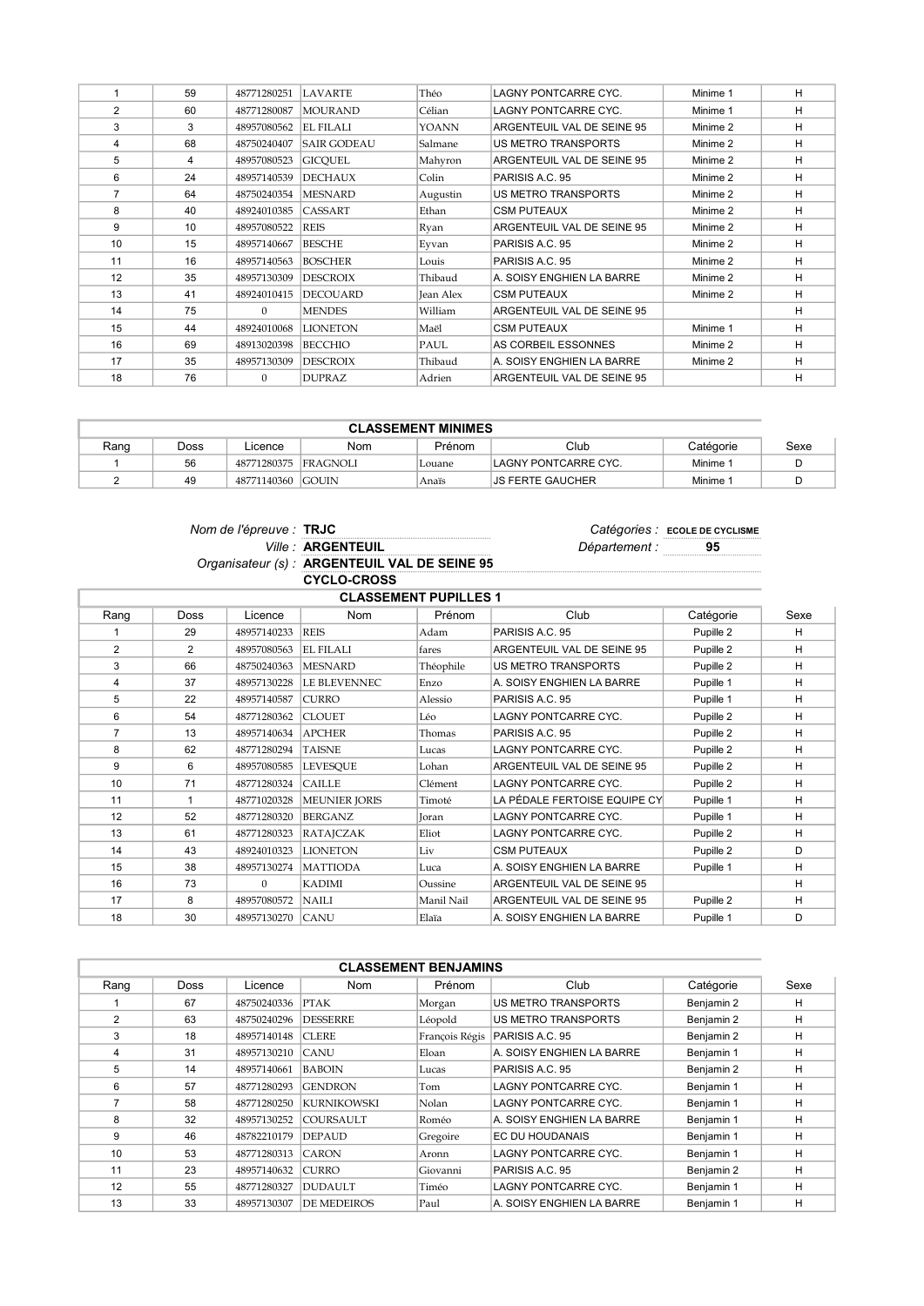|                | 59 | 48771280251 | LAVARTE            | Théo         | LAGNY PONTCARRE CYC.       | Minime 1 | н |
|----------------|----|-------------|--------------------|--------------|----------------------------|----------|---|
| 2              | 60 | 48771280087 | <b>MOURAND</b>     | Célian       | LAGNY PONTCARRE CYC.       | Minime 1 | н |
| 3              | 3  | 48957080562 | <b>EL FILALI</b>   | <b>YOANN</b> | ARGENTEUIL VAL DE SEINE 95 | Minime 2 | н |
| 4              | 68 | 48750240407 | <b>SAIR GODEAU</b> | Salmane      | <b>US METRO TRANSPORTS</b> | Minime 2 | H |
| 5              | 4  | 48957080523 | <b>GICOUEL</b>     | Mahyron      | ARGENTEUIL VAL DE SEINE 95 | Minime 2 | H |
| 6              | 24 | 48957140539 | <b>DECHAUX</b>     | Colin        | PARISIS A.C. 95            | Minime 2 | н |
| $\overline{7}$ | 64 | 48750240354 | <b>MESNARD</b>     | Augustin     | <b>US METRO TRANSPORTS</b> | Minime 2 | н |
| 8              | 40 | 48924010385 | <b>CASSART</b>     | Ethan        | <b>CSM PUTEAUX</b>         | Minime 2 | н |
| 9              | 10 | 48957080522 | REIS               | Ryan         | ARGENTEUIL VAL DE SEINE 95 | Minime 2 | н |
| 10             | 15 | 48957140667 | <b>BESCHE</b>      | Evvan        | PARISIS A.C. 95            | Minime 2 | H |
| 11             | 16 | 48957140563 | <b>BOSCHER</b>     | Louis        | PARISIS A.C. 95            | Minime 2 | н |
| 12             | 35 | 48957130309 | <b>DESCROIX</b>    | Thibaud      | A. SOISY ENGHIEN LA BARRE  | Minime 2 | н |
| 13             | 41 | 48924010415 | <b>DECOUARD</b>    | Jean Alex    | <b>CSM PUTEAUX</b>         | Minime 2 | н |
| 14             | 75 | $\Omega$    | <b>MENDES</b>      | William      | ARGENTEUIL VAL DE SEINE 95 |          | н |
| 15             | 44 | 48924010068 | <b>LIONETON</b>    | Maël         | <b>CSM PUTEAUX</b>         | Minime 1 | н |
| 16             | 69 | 48913020398 | <b>BECCHIO</b>     | PAUL         | AS CORBEIL ESSONNES        | Minime 2 | н |
| 17             | 35 | 48957130309 | <b>DESCROIX</b>    | Thibaud      | A. SOISY ENGHIEN LA BARRE  | Minime 2 | н |
| 18             | 76 | $\Omega$    | <b>DUPRAZ</b>      | Adrien       | ARGENTEUIL VAL DE SEINE 95 |          | н |

| <b>CLASSEMENT MINIMES</b> |      |                      |     |        |                      |                     |      |
|---------------------------|------|----------------------|-----|--------|----------------------|---------------------|------|
| Rang                      | Doss | _icence              | Nom | Prénom | Club                 | Catégorie           | Sexe |
|                           | 56   | 48771280375 FRAGNOLI |     | Louane | LAGNY PONTCARRE CYC. | Minime <sup>.</sup> |      |
|                           | 49   | 48771140360 GOUIN    |     | Anaïs  | IJS FERTE GAUCHER    | <b>Minime</b>       |      |

| Nom de l'épreuve : TRJC |                                               |
|-------------------------|-----------------------------------------------|
|                         | <b>Ville: ARGENTEUIL</b>                      |
|                         | Organisateur (s) : ARGENTEUIL VAL DE SEINE 95 |
|                         | CYCLO-CROSS                                   |

Catégories : ECOLE DE CYCLISME<br>Département : \_\_\_\_\_\_\_\_\_95

|                |                |             | <b>,,,,,,,,,,,,,</b> |                              |                              |           |      |
|----------------|----------------|-------------|----------------------|------------------------------|------------------------------|-----------|------|
|                |                |             |                      | <b>CLASSEMENT PUPILLES 1</b> |                              |           |      |
| Rang           | <b>Doss</b>    | Licence     | <b>Nom</b>           | Prénom                       | Club                         | Catégorie | Sexe |
|                | 29             | 48957140233 | <b>REIS</b>          | Adam                         | PARISIS A.C. 95              | Pupille 2 | H    |
| 2              | $\overline{2}$ | 48957080563 | EL FILALI            | fares                        | ARGENTEUIL VAL DE SEINE 95   | Pupille 2 | H    |
| 3              | 66             | 48750240363 | <b>MESNARD</b>       | Théophile                    | <b>US METRO TRANSPORTS</b>   | Pupille 2 | н    |
| 4              | 37             | 48957130228 | LE BLEVENNEC         | Enzo                         | A. SOISY ENGHIEN LA BARRE    | Pupille 1 | н    |
| 5              | 22             | 48957140587 | <b>CURRO</b>         | Alessio                      | PARISIS A.C. 95              | Pupille 1 | н    |
| 6              | 54             | 48771280362 | <b>CLOUET</b>        | Léo                          | LAGNY PONTCARRE CYC.         | Pupille 2 | н    |
| $\overline{7}$ | 13             | 48957140634 | <b>APCHER</b>        | Thomas                       | PARISIS A.C. 95              | Pupille 2 | н    |
| 8              | 62             | 48771280294 | <b>TAISNE</b>        | Lucas                        | LAGNY PONTCARRE CYC.         | Pupille 2 | н    |
| 9              | 6              | 48957080585 | <b>LEVESQUE</b>      | Lohan                        | ARGENTEUIL VAL DE SEINE 95   | Pupille 2 | н    |
| 10             | 71             | 48771280324 | <b>CAILLE</b>        | Clément                      | LAGNY PONTCARRE CYC.         | Pupille 2 | н    |
| 11             |                | 48771020328 | <b>MEUNIER JORIS</b> | Timoté                       | LA PÉDALE FERTOISE EQUIPE CY | Pupille 1 | H    |
| 12             | 52             | 48771280320 | <b>BERGANZ</b>       | Joran                        | LAGNY PONTCARRE CYC.         | Pupille 1 | H    |
| 13             | 61             | 48771280323 | RATAJCZAK            | Eliot                        | LAGNY PONTCARRE CYC.         | Pupille 2 | H    |
| 14             | 43             | 48924010323 | <b>LIONETON</b>      | Liv                          | <b>CSM PUTEAUX</b>           | Pupille 2 | D    |
| 15             | 38             | 48957130274 | <b>MATTIODA</b>      | Luca                         | A. SOISY ENGHIEN LA BARRE    | Pupille 1 | н    |
| 16             | 73             | $\Omega$    | <b>KADIMI</b>        | Oussine                      | ARGENTEUIL VAL DE SEINE 95   |           | н    |
| 17             | 8              | 48957080572 | NAILI                | Manil Nail                   | ARGENTEUIL VAL DE SEINE 95   | Pupille 2 | H    |
| 18             | 30             | 48957130270 | <b>CANU</b>          | Elaïa                        | A. SOISY ENGHIEN LA BARRE    | Pupille 1 | D    |

|                |      |             |                    | <b>CLASSEMENT BENJAMINS</b> |                             |            |      |
|----------------|------|-------------|--------------------|-----------------------------|-----------------------------|------------|------|
| Rang           | Doss | Licence     | Nom                | Prénom                      | Club                        | Catégorie  | Sexe |
|                | 67   | 48750240336 | <b>PTAK</b>        | Morgan                      | <b>US METRO TRANSPORTS</b>  | Benjamin 2 | н    |
| $\overline{2}$ | 63   | 48750240296 | <b>DESSERRE</b>    | Léopold                     | <b>US METRO TRANSPORTS</b>  | Benjamin 2 | н    |
| 3              | 18   | 48957140148 | <b>CLERE</b>       | François Régis              | PARISIS A.C. 95             | Benjamin 2 | н    |
| 4              | 31   | 48957130210 | <b>CANU</b>        | Eloan                       | A. SOISY ENGHIEN LA BARRE   | Benjamin 1 | H    |
| 5              | 14   | 48957140661 | <b>BABOIN</b>      | Lucas                       | PARISIS A.C. 95             | Benjamin 2 | H    |
| 6              | 57   | 48771280293 | <b>GENDRON</b>     | Tom                         | <b>LAGNY PONTCARRE CYC.</b> | Benjamin 1 | н    |
| 7              | 58   | 48771280250 | KURNIKOWSKI        | Nolan                       | <b>LAGNY PONTCARRE CYC.</b> | Benjamin 1 | н    |
| 8              | 32   | 48957130252 | COURSAULT          | Roméo                       | A. SOISY ENGHIEN LA BARRE   | Benjamin 1 | н    |
| 9              | 46   | 48782210179 | <b>DEPAUD</b>      | Gregoire                    | EC DU HOUDANAIS             | Benjamin 1 | н    |
| 10             | 53   | 48771280313 | CARON              | Aronn                       | <b>LAGNY PONTCARRE CYC.</b> | Benjamin 1 | н    |
| 11             | 23   | 48957140632 | <b>CURRO</b>       | Giovanni                    | PARISIS A.C. 95             | Benjamin 2 | н    |
| 12             | 55   | 48771280327 | DUDAULT            | Timéo                       | <b>LAGNY PONTCARRE CYC.</b> | Benjamin 1 | н    |
| 13             | 33   | 48957130307 | <b>DE MEDEIROS</b> | Paul                        | A. SOISY ENGHIEN LA BARRE   | Benjamin 1 | н    |